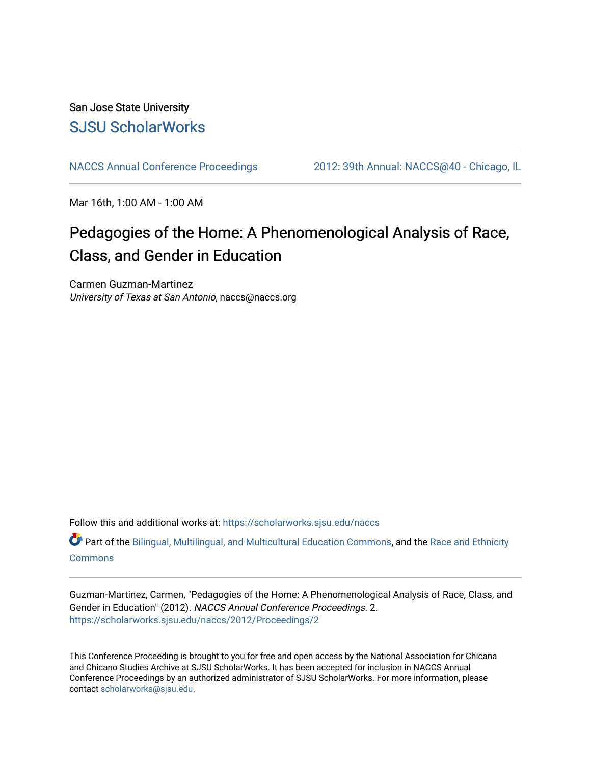## San Jose State University [SJSU ScholarWorks](https://scholarworks.sjsu.edu/)

[NACCS Annual Conference Proceedings](https://scholarworks.sjsu.edu/naccs) [2012: 39th Annual: NACCS@40 - Chicago, IL](https://scholarworks.sjsu.edu/naccs/2012) 

Mar 16th, 1:00 AM - 1:00 AM

# Pedagogies of the Home: A Phenomenological Analysis of Race, Class, and Gender in Education

Carmen Guzman-Martinez University of Texas at San Antonio, naccs@naccs.org

Follow this and additional works at: [https://scholarworks.sjsu.edu/naccs](https://scholarworks.sjsu.edu/naccs?utm_source=scholarworks.sjsu.edu%2Fnaccs%2F2012%2FProceedings%2F2&utm_medium=PDF&utm_campaign=PDFCoverPages) 

Part of the [Bilingual, Multilingual, and Multicultural Education Commons,](http://network.bepress.com/hgg/discipline/785?utm_source=scholarworks.sjsu.edu%2Fnaccs%2F2012%2FProceedings%2F2&utm_medium=PDF&utm_campaign=PDFCoverPages) and the [Race and Ethnicity](http://network.bepress.com/hgg/discipline/426?utm_source=scholarworks.sjsu.edu%2Fnaccs%2F2012%2FProceedings%2F2&utm_medium=PDF&utm_campaign=PDFCoverPages) **[Commons](http://network.bepress.com/hgg/discipline/426?utm_source=scholarworks.sjsu.edu%2Fnaccs%2F2012%2FProceedings%2F2&utm_medium=PDF&utm_campaign=PDFCoverPages)** 

Guzman-Martinez, Carmen, "Pedagogies of the Home: A Phenomenological Analysis of Race, Class, and Gender in Education" (2012). NACCS Annual Conference Proceedings. 2. [https://scholarworks.sjsu.edu/naccs/2012/Proceedings/2](https://scholarworks.sjsu.edu/naccs/2012/Proceedings/2?utm_source=scholarworks.sjsu.edu%2Fnaccs%2F2012%2FProceedings%2F2&utm_medium=PDF&utm_campaign=PDFCoverPages) 

This Conference Proceeding is brought to you for free and open access by the National Association for Chicana and Chicano Studies Archive at SJSU ScholarWorks. It has been accepted for inclusion in NACCS Annual Conference Proceedings by an authorized administrator of SJSU ScholarWorks. For more information, please contact [scholarworks@sjsu.edu.](mailto:scholarworks@sjsu.edu)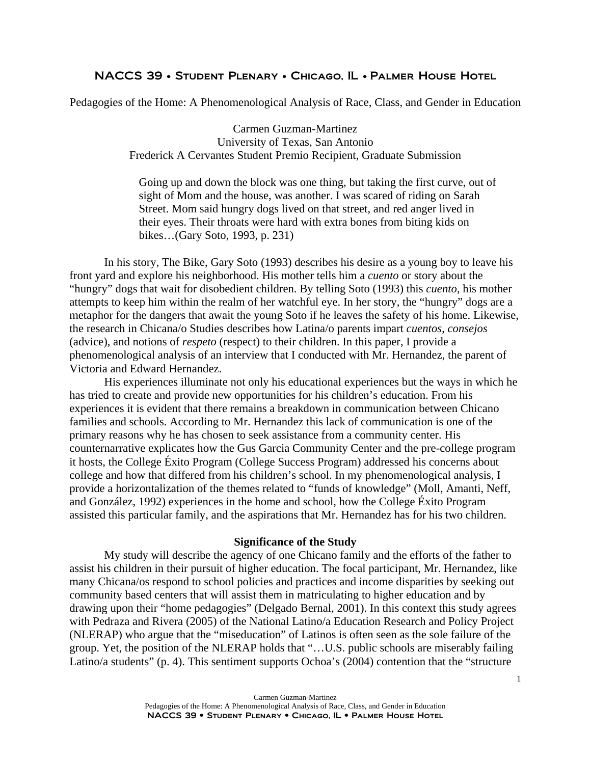## NACCS 39 • Student Plenary • Chicago, IL • Palmer House Hotel

Pedagogies of the Home: A Phenomenological Analysis of Race, Class, and Gender in Education

Carmen Guzman-Martinez University of Texas, San Antonio Frederick A Cervantes Student Premio Recipient, Graduate Submission

 Going up and down the block was one thing, but taking the first curve, out of sight of Mom and the house, was another. I was scared of riding on Sarah Street. Mom said hungry dogs lived on that street, and red anger lived in their eyes. Their throats were hard with extra bones from biting kids on bikes…(Gary Soto, 1993, p. 231)

 In his story, The Bike, Gary Soto (1993) describes his desire as a young boy to leave his front yard and explore his neighborhood. His mother tells him a *cuento* or story about the "hungry" dogs that wait for disobedient children. By telling Soto (1993) this *cuento*, his mother attempts to keep him within the realm of her watchful eye. In her story, the "hungry" dogs are a metaphor for the dangers that await the young Soto if he leaves the safety of his home. Likewise, the research in Chicana/o Studies describes how Latina/o parents impart *cuentos*, *consejos* (advice), and notions of *respeto* (respect) to their children. In this paper, I provide a phenomenological analysis of an interview that I conducted with Mr. Hernandez, the parent of Victoria and Edward Hernandez.

His experiences illuminate not only his educational experiences but the ways in which he has tried to create and provide new opportunities for his children's education. From his experiences it is evident that there remains a breakdown in communication between Chicano families and schools. According to Mr. Hernandez this lack of communication is one of the primary reasons why he has chosen to seek assistance from a community center. His counternarrative explicates how the Gus Garcia Community Center and the pre-college program it hosts, the College Éxito Program (College Success Program) addressed his concerns about college and how that differed from his children's school. In my phenomenological analysis, I provide a horizontalization of the themes related to "funds of knowledge" (Moll, Amanti, Neff, and González, 1992) experiences in the home and school, how the College Éxito Program assisted this particular family, and the aspirations that Mr. Hernandez has for his two children.

#### **Significance of the Study**

My study will describe the agency of one Chicano family and the efforts of the father to assist his children in their pursuit of higher education. The focal participant, Mr. Hernandez, like many Chicana/os respond to school policies and practices and income disparities by seeking out community based centers that will assist them in matriculating to higher education and by drawing upon their "home pedagogies" (Delgado Bernal, 2001). In this context this study agrees with Pedraza and Rivera (2005) of the National Latino/a Education Research and Policy Project (NLERAP) who argue that the "miseducation" of Latinos is often seen as the sole failure of the group. Yet, the position of the NLERAP holds that "…U.S. public schools are miserably failing Latino/a students" (p. 4). This sentiment supports Ochoa's (2004) contention that the "structure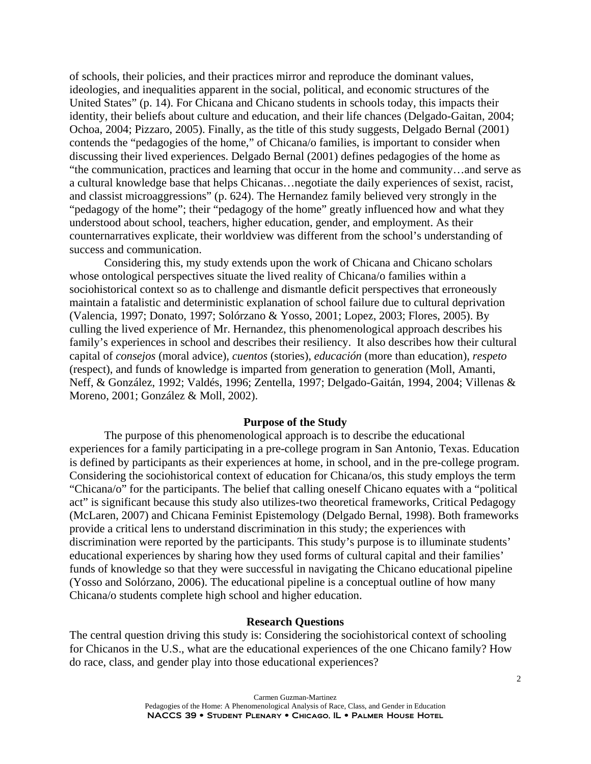of schools, their policies, and their practices mirror and reproduce the dominant values, ideologies, and inequalities apparent in the social, political, and economic structures of the United States" (p. 14). For Chicana and Chicano students in schools today, this impacts their identity, their beliefs about culture and education, and their life chances (Delgado-Gaitan, 2004; Ochoa, 2004; Pizzaro, 2005). Finally, as the title of this study suggests, Delgado Bernal (2001) contends the "pedagogies of the home," of Chicana/o families, is important to consider when discussing their lived experiences. Delgado Bernal (2001) defines pedagogies of the home as "the communication, practices and learning that occur in the home and community…and serve as a cultural knowledge base that helps Chicanas…negotiate the daily experiences of sexist, racist, and classist microaggressions" (p. 624). The Hernandez family believed very strongly in the "pedagogy of the home"; their "pedagogy of the home" greatly influenced how and what they understood about school, teachers, higher education, gender, and employment. As their counternarratives explicate, their worldview was different from the school's understanding of success and communication.

Considering this, my study extends upon the work of Chicana and Chicano scholars whose ontological perspectives situate the lived reality of Chicana/o families within a sociohistorical context so as to challenge and dismantle deficit perspectives that erroneously maintain a fatalistic and deterministic explanation of school failure due to cultural deprivation (Valencia, 1997; Donato, 1997; Solórzano & Yosso, 2001; Lopez, 2003; Flores, 2005). By culling the lived experience of Mr. Hernandez, this phenomenological approach describes his family's experiences in school and describes their resiliency. It also describes how their cultural capital of *consejos* (moral advice)*, cuentos* (stories)*, educación* (more than education), *respeto* (respect), and funds of knowledge is imparted from generation to generation (Moll, Amanti, Neff, & González, 1992; Valdés, 1996; Zentella, 1997; Delgado-Gaitán, 1994, 2004; Villenas & Moreno, 2001; González & Moll, 2002).

#### **Purpose of the Study**

The purpose of this phenomenological approach is to describe the educational experiences for a family participating in a pre-college program in San Antonio, Texas. Education is defined by participants as their experiences at home, in school, and in the pre-college program. Considering the sociohistorical context of education for Chicana/os, this study employs the term "Chicana/o" for the participants. The belief that calling oneself Chicano equates with a "political act" is significant because this study also utilizes-two theoretical frameworks, Critical Pedagogy (McLaren, 2007) and Chicana Feminist Epistemology (Delgado Bernal, 1998). Both frameworks provide a critical lens to understand discrimination in this study; the experiences with discrimination were reported by the participants. This study's purpose is to illuminate students' educational experiences by sharing how they used forms of cultural capital and their families' funds of knowledge so that they were successful in navigating the Chicano educational pipeline (Yosso and Solórzano, 2006). The educational pipeline is a conceptual outline of how many Chicana/o students complete high school and higher education.

### **Research Questions**

The central question driving this study is: Considering the sociohistorical context of schooling for Chicanos in the U.S., what are the educational experiences of the one Chicano family? How do race, class, and gender play into those educational experiences?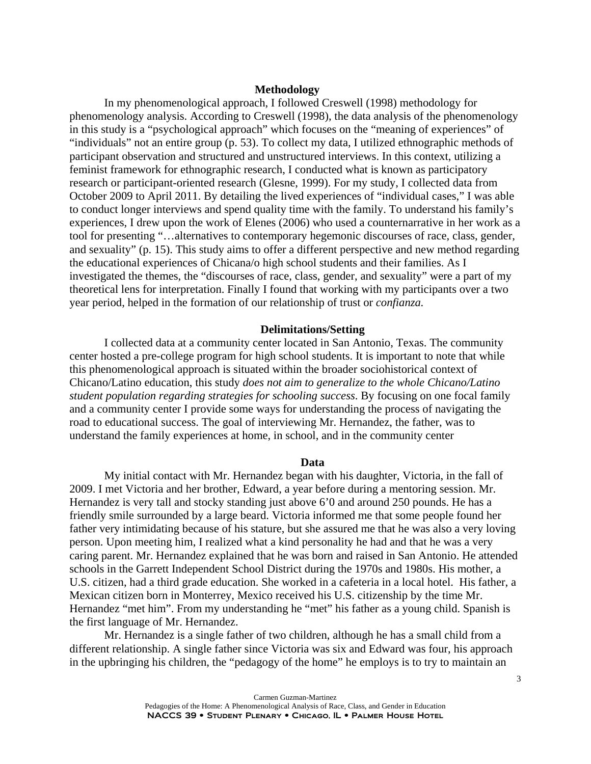## **Methodology**

In my phenomenological approach, I followed Creswell (1998) methodology for phenomenology analysis. According to Creswell (1998), the data analysis of the phenomenology in this study is a "psychological approach" which focuses on the "meaning of experiences" of "individuals" not an entire group (p. 53). To collect my data, I utilized ethnographic methods of participant observation and structured and unstructured interviews. In this context, utilizing a feminist framework for ethnographic research, I conducted what is known as participatory research or participant-oriented research (Glesne, 1999). For my study, I collected data from October 2009 to April 2011. By detailing the lived experiences of "individual cases," I was able to conduct longer interviews and spend quality time with the family. To understand his family's experiences, I drew upon the work of Elenes (2006) who used a counternarrative in her work as a tool for presenting "…alternatives to contemporary hegemonic discourses of race, class, gender, and sexuality" (p. 15). This study aims to offer a different perspective and new method regarding the educational experiences of Chicana/o high school students and their families. As I investigated the themes, the "discourses of race, class, gender, and sexuality" were a part of my theoretical lens for interpretation. Finally I found that working with my participants over a two year period, helped in the formation of our relationship of trust or *confianza.* 

#### **Delimitations/Setting**

I collected data at a community center located in San Antonio, Texas. The community center hosted a pre-college program for high school students. It is important to note that while this phenomenological approach is situated within the broader sociohistorical context of Chicano/Latino education, this study *does not aim to generalize to the whole Chicano/Latino student population regarding strategies for schooling success*. By focusing on one focal family and a community center I provide some ways for understanding the process of navigating the road to educational success. The goal of interviewing Mr. Hernandez, the father, was to understand the family experiences at home, in school, and in the community center

#### **Data**

My initial contact with Mr. Hernandez began with his daughter, Victoria, in the fall of 2009. I met Victoria and her brother, Edward, a year before during a mentoring session. Mr. Hernandez is very tall and stocky standing just above 6'0 and around 250 pounds. He has a friendly smile surrounded by a large beard. Victoria informed me that some people found her father very intimidating because of his stature, but she assured me that he was also a very loving person. Upon meeting him, I realized what a kind personality he had and that he was a very caring parent. Mr. Hernandez explained that he was born and raised in San Antonio. He attended schools in the Garrett Independent School District during the 1970s and 1980s. His mother, a U.S. citizen, had a third grade education. She worked in a cafeteria in a local hotel. His father, a Mexican citizen born in Monterrey, Mexico received his U.S. citizenship by the time Mr. Hernandez "met him". From my understanding he "met" his father as a young child. Spanish is the first language of Mr. Hernandez.

 Mr. Hernandez is a single father of two children, although he has a small child from a different relationship. A single father since Victoria was six and Edward was four, his approach in the upbringing his children, the "pedagogy of the home" he employs is to try to maintain an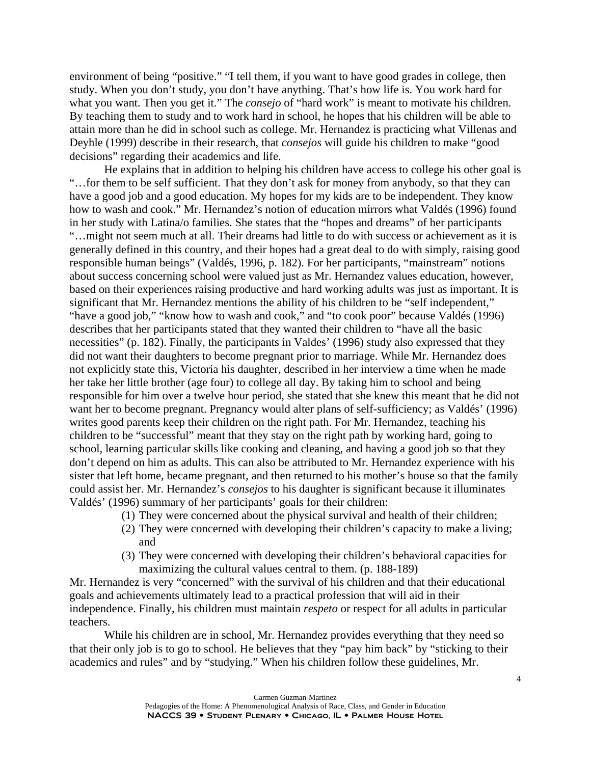environment of being "positive." "I tell them, if you want to have good grades in college, then study. When you don't study, you don't have anything. That's how life is. You work hard for what you want. Then you get it." The *consejo* of "hard work" is meant to motivate his children. By teaching them to study and to work hard in school, he hopes that his children will be able to attain more than he did in school such as college. Mr. Hernandez is practicing what Villenas and Deyhle (1999) describe in their research, that *consejos* will guide his children to make "good decisions" regarding their academics and life.

He explains that in addition to helping his children have access to college his other goal is "…for them to be self sufficient. That they don't ask for money from anybody, so that they can have a good job and a good education. My hopes for my kids are to be independent. They know how to wash and cook." Mr. Hernandez's notion of education mirrors what Valdés (1996) found in her study with Latina/o families. She states that the "hopes and dreams" of her participants "…might not seem much at all. Their dreams had little to do with success or achievement as it is generally defined in this country, and their hopes had a great deal to do with simply, raising good responsible human beings" (Valdés, 1996, p. 182). For her participants, "mainstream" notions about success concerning school were valued just as Mr. Hernandez values education, however, based on their experiences raising productive and hard working adults was just as important. It is significant that Mr. Hernandez mentions the ability of his children to be "self independent," "have a good job," "know how to wash and cook," and "to cook poor" because Valdés (1996) describes that her participants stated that they wanted their children to "have all the basic necessities" (p. 182). Finally, the participants in Valdes' (1996) study also expressed that they did not want their daughters to become pregnant prior to marriage. While Mr. Hernandez does not explicitly state this, Victoria his daughter, described in her interview a time when he made her take her little brother (age four) to college all day. By taking him to school and being responsible for him over a twelve hour period, she stated that she knew this meant that he did not want her to become pregnant. Pregnancy would alter plans of self-sufficiency; as Valdés' (1996) writes good parents keep their children on the right path. For Mr. Hernandez, teaching his children to be "successful" meant that they stay on the right path by working hard, going to school, learning particular skills like cooking and cleaning, and having a good job so that they don't depend on him as adults. This can also be attributed to Mr. Hernandez experience with his sister that left home, became pregnant, and then returned to his mother's house so that the family could assist her. Mr. Hernandez's *consejos* to his daughter is significant because it illuminates Valdés' (1996) summary of her participants' goals for their children:

- (1) They were concerned about the physical survival and health of their children;
- (2) They were concerned with developing their children's capacity to make a living; and
- (3) They were concerned with developing their children's behavioral capacities for maximizing the cultural values central to them. (p. 188-189)

Mr. Hernandez is very "concerned" with the survival of his children and that their educational goals and achievements ultimately lead to a practical profession that will aid in their independence. Finally, his children must maintain *respeto* or respect for all adults in particular teachers.

 While his children are in school, Mr. Hernandez provides everything that they need so that their only job is to go to school. He believes that they "pay him back" by "sticking to their academics and rules" and by "studying." When his children follow these guidelines, Mr.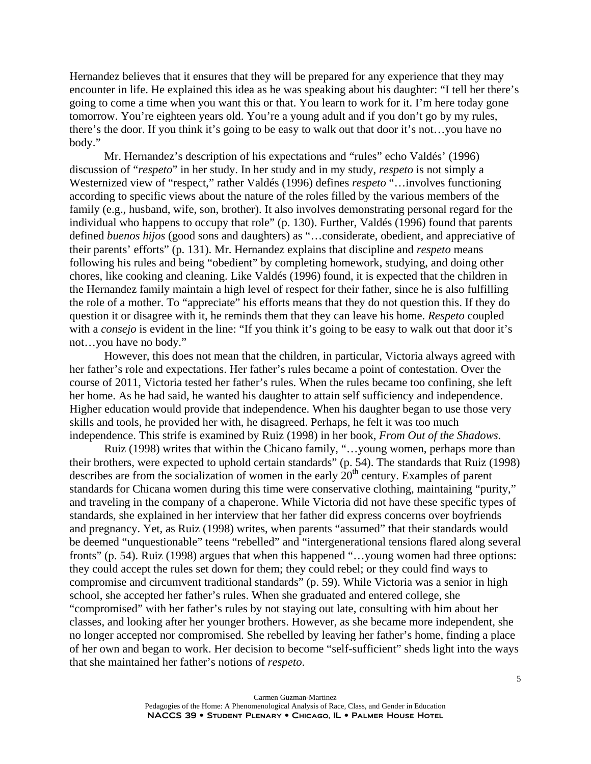Hernandez believes that it ensures that they will be prepared for any experience that they may encounter in life. He explained this idea as he was speaking about his daughter: "I tell her there's going to come a time when you want this or that. You learn to work for it. I'm here today gone tomorrow. You're eighteen years old. You're a young adult and if you don't go by my rules, there's the door. If you think it's going to be easy to walk out that door it's not…you have no body."

 Mr. Hernandez's description of his expectations and "rules" echo Valdés' (1996) discussion of "*respeto*" in her study. In her study and in my study, *respeto* is not simply a Westernized view of "respect," rather Valdés (1996) defines *respeto* "…involves functioning according to specific views about the nature of the roles filled by the various members of the family (e.g., husband, wife, son, brother). It also involves demonstrating personal regard for the individual who happens to occupy that role" (p. 130). Further, Valdés (1996) found that parents defined *buenos hijos* (good sons and daughters) as "…considerate, obedient, and appreciative of their parents' efforts" (p. 131). Mr. Hernandez explains that discipline and *respeto* means following his rules and being "obedient" by completing homework, studying, and doing other chores, like cooking and cleaning. Like Valdés (1996) found, it is expected that the children in the Hernandez family maintain a high level of respect for their father, since he is also fulfilling the role of a mother. To "appreciate" his efforts means that they do not question this. If they do question it or disagree with it, he reminds them that they can leave his home. *Respeto* coupled with a *consejo* is evident in the line: "If you think it's going to be easy to walk out that door it's not…you have no body."

 However, this does not mean that the children, in particular, Victoria always agreed with her father's role and expectations. Her father's rules became a point of contestation. Over the course of 2011, Victoria tested her father's rules. When the rules became too confining, she left her home. As he had said, he wanted his daughter to attain self sufficiency and independence. Higher education would provide that independence. When his daughter began to use those very skills and tools, he provided her with, he disagreed. Perhaps, he felt it was too much independence. This strife is examined by Ruiz (1998) in her book, *From Out of the Shadows*.

 Ruiz (1998) writes that within the Chicano family, "…young women, perhaps more than their brothers, were expected to uphold certain standards" (p. 54). The standards that Ruiz (1998) describes are from the socialization of women in the early  $20<sup>th</sup>$  century. Examples of parent standards for Chicana women during this time were conservative clothing, maintaining "purity," and traveling in the company of a chaperone. While Victoria did not have these specific types of standards, she explained in her interview that her father did express concerns over boyfriends and pregnancy. Yet, as Ruiz (1998) writes, when parents "assumed" that their standards would be deemed "unquestionable" teens "rebelled" and "intergenerational tensions flared along several fronts" (p. 54). Ruiz (1998) argues that when this happened "...young women had three options: they could accept the rules set down for them; they could rebel; or they could find ways to compromise and circumvent traditional standards" (p. 59). While Victoria was a senior in high school, she accepted her father's rules. When she graduated and entered college, she "compromised" with her father's rules by not staying out late, consulting with him about her classes, and looking after her younger brothers. However, as she became more independent, she no longer accepted nor compromised. She rebelled by leaving her father's home, finding a place of her own and began to work. Her decision to become "self-sufficient" sheds light into the ways that she maintained her father's notions of *respeto*.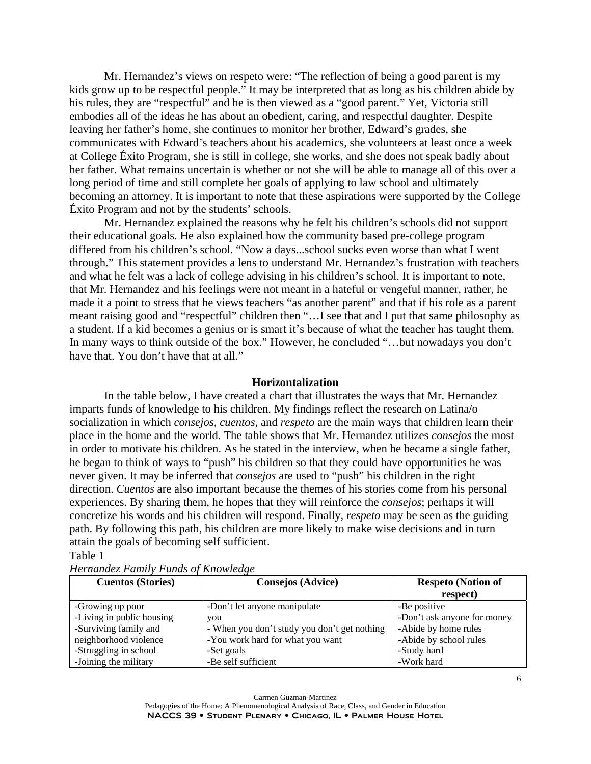Mr. Hernandez's views on respeto were: "The reflection of being a good parent is my kids grow up to be respectful people." It may be interpreted that as long as his children abide by his rules, they are "respectful" and he is then viewed as a "good parent." Yet, Victoria still embodies all of the ideas he has about an obedient, caring, and respectful daughter. Despite leaving her father's home, she continues to monitor her brother, Edward's grades, she communicates with Edward's teachers about his academics, she volunteers at least once a week at College Éxito Program, she is still in college, she works, and she does not speak badly about her father. What remains uncertain is whether or not she will be able to manage all of this over a long period of time and still complete her goals of applying to law school and ultimately becoming an attorney. It is important to note that these aspirations were supported by the College Éxito Program and not by the students' schools.

 Mr. Hernandez explained the reasons why he felt his children's schools did not support their educational goals. He also explained how the community based pre-college program differed from his children's school. "Now a days...school sucks even worse than what I went through." This statement provides a lens to understand Mr. Hernandez's frustration with teachers and what he felt was a lack of college advising in his children's school. It is important to note, that Mr. Hernandez and his feelings were not meant in a hateful or vengeful manner, rather, he made it a point to stress that he views teachers "as another parent" and that if his role as a parent meant raising good and "respectful" children then "…I see that and I put that same philosophy as a student. If a kid becomes a genius or is smart it's because of what the teacher has taught them. In many ways to think outside of the box." However, he concluded "…but nowadays you don't have that. You don't have that at all."

#### **Horizontalization**

 In the table below, I have created a chart that illustrates the ways that Mr. Hernandez imparts funds of knowledge to his children. My findings reflect the research on Latina/o socialization in which *consejos*, *cuentos*, and *respeto* are the main ways that children learn their place in the home and the world. The table shows that Mr. Hernandez utilizes *consejos* the most in order to motivate his children. As he stated in the interview, when he became a single father, he began to think of ways to "push" his children so that they could have opportunities he was never given. It may be inferred that *consejos* are used to "push" his children in the right direction. *Cuentos* are also important because the themes of his stories come from his personal experiences. By sharing them, he hopes that they will reinforce the *consejos*; perhaps it will concretize his words and his children will respond. Finally, *respeto* may be seen as the guiding path. By following this path, his children are more likely to make wise decisions and in turn attain the goals of becoming self sufficient.

#### Table 1

| <b>Cuentos (Stories)</b>  | <b>Consejos (Advice)</b>                     | <b>Respeto</b> (Notion of   |
|---------------------------|----------------------------------------------|-----------------------------|
|                           |                                              | respect)                    |
| -Growing up poor          | -Don't let anyone manipulate                 | -Be positive                |
| -Living in public housing | you                                          | -Don't ask anyone for money |
| -Surviving family and     | - When you don't study you don't get nothing | -Abide by home rules        |
| neighborhood violence     | -You work hard for what you want             | -Abide by school rules      |
| -Struggling in school     | -Set goals                                   | -Study hard                 |
| -Joining the military     | -Be self sufficient                          | -Work hard                  |

*Hernandez Family Funds of Knowledge*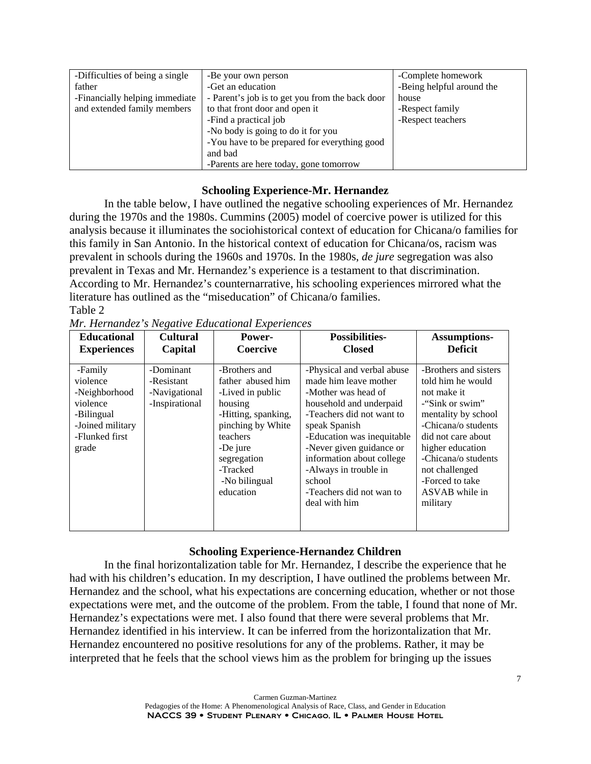| -Difficulties of being a single | -Be your own person                             | -Complete homework        |
|---------------------------------|-------------------------------------------------|---------------------------|
| father                          | -Get an education                               | -Being helpful around the |
| -Financially helping immediate  | - Parent's job is to get you from the back door | house                     |
| and extended family members     | to that front door and open it                  | -Respect family           |
|                                 | -Find a practical job                           | -Respect teachers         |
|                                 | -No body is going to do it for you              |                           |
|                                 | -You have to be prepared for everything good    |                           |
|                                 | and bad                                         |                           |
|                                 | -Parents are here today, gone tomorrow          |                           |

## **Schooling Experience-Mr. Hernandez**

 In the table below, I have outlined the negative schooling experiences of Mr. Hernandez during the 1970s and the 1980s. Cummins (2005) model of coercive power is utilized for this analysis because it illuminates the sociohistorical context of education for Chicana/o families for this family in San Antonio. In the historical context of education for Chicana/os, racism was prevalent in schools during the 1960s and 1970s. In the 1980s, *de jure* segregation was also prevalent in Texas and Mr. Hernandez's experience is a testament to that discrimination. According to Mr. Hernandez's counternarrative, his schooling experiences mirrored what the literature has outlined as the "miseducation" of Chicana/o families. Table 2

| <b>Educational</b>                                                                                            | <b>Cultural</b>                                            | Power-                                                                                                                                                                                         | <b>Possibilities-</b>                                                                                                                                                                                                                                                                                                      | <b>Assumptions-</b>                                                                                                                                                                                                                                            |
|---------------------------------------------------------------------------------------------------------------|------------------------------------------------------------|------------------------------------------------------------------------------------------------------------------------------------------------------------------------------------------------|----------------------------------------------------------------------------------------------------------------------------------------------------------------------------------------------------------------------------------------------------------------------------------------------------------------------------|----------------------------------------------------------------------------------------------------------------------------------------------------------------------------------------------------------------------------------------------------------------|
| <b>Experiences</b>                                                                                            | Capital                                                    | Coercive                                                                                                                                                                                       | <b>Closed</b>                                                                                                                                                                                                                                                                                                              | <b>Deficit</b>                                                                                                                                                                                                                                                 |
| -Family<br>violence<br>-Neighborhood<br>violence<br>-Bilingual<br>-Joined military<br>-Flunked first<br>grade | -Dominant<br>-Resistant<br>-Navigational<br>-Inspirational | -Brothers and<br>father abused him<br>-Lived in public<br>housing<br>-Hitting, spanking,<br>pinching by White<br>teachers<br>-De jure<br>segregation<br>-Tracked<br>-No bilingual<br>education | -Physical and verbal abuse<br>made him leave mother<br>-Mother was head of<br>household and underpaid<br>-Teachers did not want to<br>speak Spanish<br>-Education was inequitable<br>-Never given guidance or<br>information about college<br>-Always in trouble in<br>school<br>-Teachers did not wan to<br>deal with him | -Brothers and sisters<br>told him he would<br>not make it<br>-"Sink or swim"<br>mentality by school<br>-Chicana/o students<br>did not care about<br>higher education<br>-Chicana/o students<br>not challenged<br>-Forced to take<br>ASVAB while in<br>military |

*Mr. Hernandez's Negative Educational Experiences*

## **Schooling Experience-Hernandez Children**

In the final horizontalization table for Mr. Hernandez, I describe the experience that he had with his children's education. In my description, I have outlined the problems between Mr. Hernandez and the school, what his expectations are concerning education, whether or not those expectations were met, and the outcome of the problem. From the table, I found that none of Mr. Hernandez's expectations were met. I also found that there were several problems that Mr. Hernandez identified in his interview. It can be inferred from the horizontalization that Mr. Hernandez encountered no positive resolutions for any of the problems. Rather, it may be interpreted that he feels that the school views him as the problem for bringing up the issues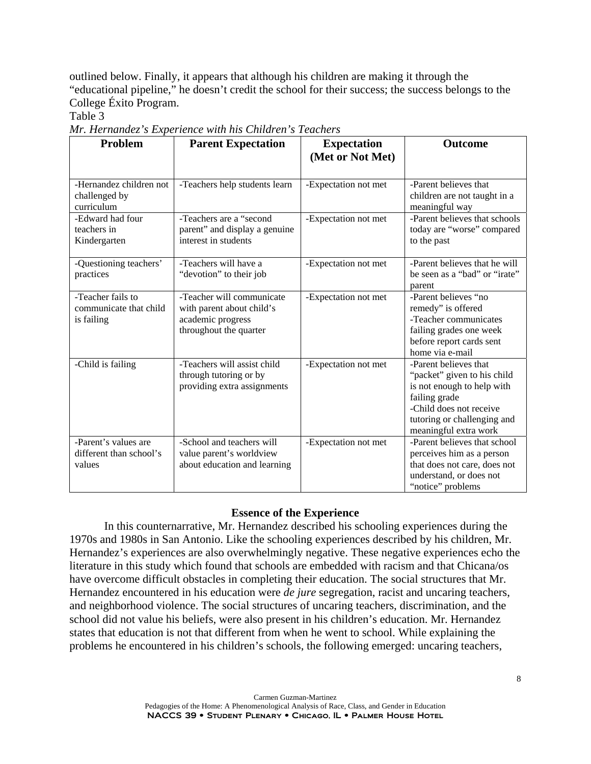outlined below. Finally, it appears that although his children are making it through the "educational pipeline," he doesn't credit the school for their success; the success belongs to the College Éxito Program.

Table 3

*Mr. Hernandez's Experience with his Children's Teachers* 

| Problem                                                   | <b>Parent Expectation</b>                                                                             | <b>Expectation</b><br>(Met or Not Met) | <b>Outcome</b>                                                                                                                                                                         |
|-----------------------------------------------------------|-------------------------------------------------------------------------------------------------------|----------------------------------------|----------------------------------------------------------------------------------------------------------------------------------------------------------------------------------------|
| -Hernandez children not<br>challenged by<br>curriculum    | -Teachers help students learn                                                                         | -Expectation not met                   | -Parent believes that<br>children are not taught in a<br>meaningful way                                                                                                                |
| -Edward had four<br>teachers in<br>Kindergarten           | -Teachers are a "second<br>parent" and display a genuine<br>interest in students                      | -Expectation not met                   | -Parent believes that schools<br>today are "worse" compared<br>to the past                                                                                                             |
| -Questioning teachers'<br>practices                       | -Teachers will have a<br>"devotion" to their job                                                      | -Expectation not met                   | -Parent believes that he will<br>be seen as a "bad" or "irate"<br>parent                                                                                                               |
| -Teacher fails to<br>communicate that child<br>is failing | -Teacher will communicate<br>with parent about child's<br>academic progress<br>throughout the quarter | -Expectation not met                   | -Parent believes "no<br>remedy" is offered<br>-Teacher communicates<br>failing grades one week<br>before report cards sent<br>home via e-mail                                          |
| -Child is failing                                         | -Teachers will assist child<br>through tutoring or by<br>providing extra assignments                  | -Expectation not met                   | -Parent believes that<br>"packet" given to his child<br>is not enough to help with<br>failing grade<br>-Child does not receive<br>tutoring or challenging and<br>meaningful extra work |
| -Parent's values are<br>different than school's<br>values | -School and teachers will<br>value parent's worldview<br>about education and learning                 | -Expectation not met                   | -Parent believes that school<br>perceives him as a person<br>that does not care, does not<br>understand, or does not<br>"notice" problems                                              |

## **Essence of the Experience**

 In this counternarrative, Mr. Hernandez described his schooling experiences during the 1970s and 1980s in San Antonio. Like the schooling experiences described by his children, Mr. Hernandez's experiences are also overwhelmingly negative. These negative experiences echo the literature in this study which found that schools are embedded with racism and that Chicana/os have overcome difficult obstacles in completing their education. The social structures that Mr. Hernandez encountered in his education were *de jure* segregation, racist and uncaring teachers, and neighborhood violence. The social structures of uncaring teachers, discrimination, and the school did not value his beliefs, were also present in his children's education. Mr. Hernandez states that education is not that different from when he went to school. While explaining the problems he encountered in his children's schools, the following emerged: uncaring teachers,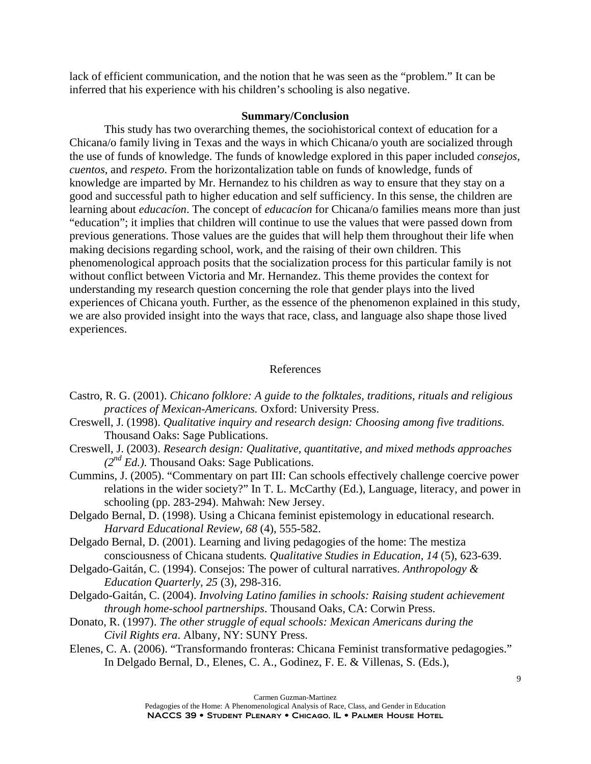lack of efficient communication, and the notion that he was seen as the "problem." It can be inferred that his experience with his children's schooling is also negative.

## **Summary/Conclusion**

 This study has two overarching themes, the sociohistorical context of education for a Chicana/o family living in Texas and the ways in which Chicana/o youth are socialized through the use of funds of knowledge. The funds of knowledge explored in this paper included *consejos*, *cuentos*, and *respeto*. From the horizontalization table on funds of knowledge, funds of knowledge are imparted by Mr. Hernandez to his children as way to ensure that they stay on a good and successful path to higher education and self sufficiency. In this sense, the children are learning about *educacíon*. The concept of *educacíon* for Chicana/o families means more than just "education"; it implies that children will continue to use the values that were passed down from previous generations. Those values are the guides that will help them throughout their life when making decisions regarding school, work, and the raising of their own children. This phenomenological approach posits that the socialization process for this particular family is not without conflict between Victoria and Mr. Hernandez. This theme provides the context for understanding my research question concerning the role that gender plays into the lived experiences of Chicana youth. Further, as the essence of the phenomenon explained in this study, we are also provided insight into the ways that race, class, and language also shape those lived experiences.

## References

- Castro, R. G. (2001). *Chicano folklore: A guide to the folktales, traditions, rituals and religious practices of Mexican-Americans.* Oxford: University Press.
- Creswell, J. (1998). *Qualitative inquiry and research design: Choosing among five traditions.* Thousand Oaks: Sage Publications.
- Creswell, J. (2003). *Research design: Qualitative, quantitative, and mixed methods approaches (2nd Ed.)*. Thousand Oaks: Sage Publications.
- Cummins, J. (2005). "Commentary on part III: Can schools effectively challenge coercive power relations in the wider society?" In T. L. McCarthy (Ed.), Language, literacy, and power in schooling (pp. 283-294). Mahwah: New Jersey.
- Delgado Bernal, D. (1998). Using a Chicana feminist epistemology in educational research. *Harvard Educational Review, 68* (4), 555-582.
- Delgado Bernal, D. (2001). Learning and living pedagogies of the home: The mestiza consciousness of Chicana students*. Qualitative Studies in Education, 14* (5), 623-639.
- Delgado-Gaitán, C. (1994). Consejos: The power of cultural narratives. *Anthropology & Education Quarterly, 25* (3), 298-316.
- Delgado-Gaitán, C. (2004). *Involving Latino families in schools: Raising student achievement through home-school partnerships*. Thousand Oaks, CA: Corwin Press.
- Donato, R. (1997). *The other struggle of equal schools: Mexican Americans during the Civil Rights era*. Albany, NY: SUNY Press.
- Elenes, C. A. (2006). "Transformando fronteras: Chicana Feminist transformative pedagogies." In Delgado Bernal, D., Elenes, C. A., Godinez, F. E. & Villenas, S. (Eds.),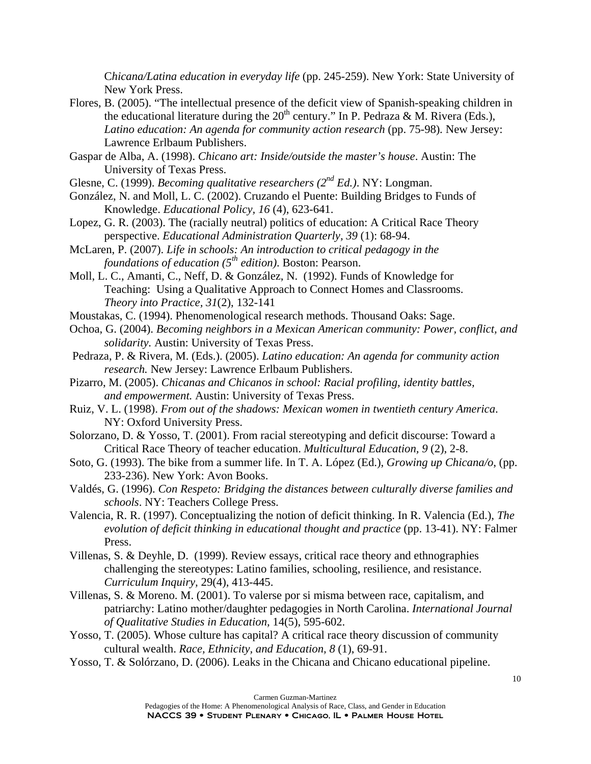C*hicana/Latina education in everyday life* (pp. 245-259). New York: State University of New York Press.

- Flores, B. (2005). "The intellectual presence of the deficit view of Spanish-speaking children in the educational literature during the  $20<sup>th</sup>$  century." In P. Pedraza & M. Rivera (Eds.), *Latino education: An agenda for community action research* (pp. 75-98)*.* New Jersey: Lawrence Erlbaum Publishers.
- Gaspar de Alba, A. (1998). *Chicano art: Inside/outside the master's house*. Austin: The University of Texas Press.
- Glesne, C. (1999). *Becoming qualitative researchers (2nd Ed.)*. NY: Longman.
- González, N. and Moll, L. C. (2002). Cruzando el Puente: Building Bridges to Funds of Knowledge. *Educational Policy, 16* (4), 623-641.
- Lopez, G. R. (2003). The (racially neutral) politics of education: A Critical Race Theory perspective. *Educational Administration Quarterly, 39* (1): 68-94.
- McLaren, P. (2007). *Life in schools: An introduction to critical pedagogy in the foundations of education (5th edition)*. Boston: Pearson.
- Moll, L. C., Amanti, C., Neff, D. & González, N. (1992). Funds of Knowledge for Teaching: Using a Qualitative Approach to Connect Homes and Classrooms. *Theory into Practice, 31*(2), 132-141
- Moustakas, C. (1994). Phenomenological research methods. Thousand Oaks: Sage.
- Ochoa, G. (2004). *Becoming neighbors in a Mexican American community: Power, conflict, and solidarity.* Austin: University of Texas Press.
- Pedraza, P. & Rivera, M. (Eds.). (2005). *Latino education: An agenda for community action research.* New Jersey: Lawrence Erlbaum Publishers.
- Pizarro, M. (2005). *Chicanas and Chicanos in school: Racial profiling, identity battles, and empowerment.* Austin: University of Texas Press.
- Ruiz, V. L. (1998). *From out of the shadows: Mexican women in twentieth century America*. NY: Oxford University Press.
- Solorzano, D. & Yosso, T. (2001). From racial stereotyping and deficit discourse: Toward a Critical Race Theory of teacher education. *Multicultural Education, 9* (2), 2-8.
- Soto, G. (1993). The bike from a summer life. In T. A. López (Ed.), *Growing up Chicana/o*, (pp. 233-236). New York: Avon Books.
- Valdés, G. (1996). *Con Respeto: Bridging the distances between culturally diverse families and schools*. NY: Teachers College Press.
- Valencia, R. R. (1997). Conceptualizing the notion of deficit thinking. In R. Valencia (Ed.), *The evolution of deficit thinking in educational thought and practice* (pp. 13-41). NY: Falmer Press.
- Villenas, S. & Deyhle, D. (1999). Review essays, critical race theory and ethnographies challenging the stereotypes: Latino families, schooling, resilience, and resistance. *Curriculum Inquiry,* 29(4), 413-445.
- Villenas, S. & Moreno. M. (2001). To valerse por si misma between race, capitalism, and patriarchy: Latino mother/daughter pedagogies in North Carolina. *International Journal of Qualitative Studies in Education,* 14(5), 595-602.
- Yosso, T. (2005). Whose culture has capital? A critical race theory discussion of community cultural wealth. *Race, Ethnicity, and Education, 8* (1), 69-91.
- Yosso, T. & Solórzano, D. (2006). Leaks in the Chicana and Chicano educational pipeline.